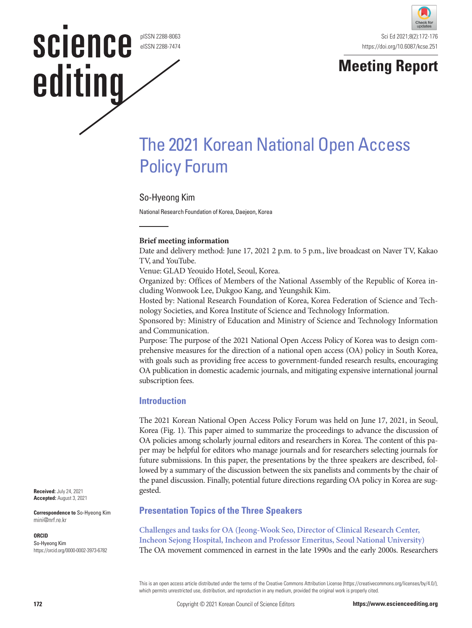# science pISSN 2288-8063 eISSN 2288-7474 editing





# The 2021 Korean National Open Access Policy Forum

# So-Hyeong Kim

National Research Foundation of Korea, Daejeon, Korea

#### **Brief meeting information**

Date and delivery method: June 17, 2021 2 p.m. to 5 p.m., live broadcast on Naver TV, Kakao TV, and YouTube.

Venue: GLAD Yeouido Hotel, Seoul, Korea.

Organized by: Offices of Members of the National Assembly of the Republic of Korea including Wonwook Lee, Dukgoo Kang, and Yeungshik Kim.

Hosted by: National Research Foundation of Korea, Korea Federation of Science and Technology Societies, and Korea Institute of Science and Technology Information.

Sponsored by: Ministry of Education and Ministry of Science and Technology Information and Communication.

Purpose: The purpose of the 2021 National Open Access Policy of Korea was to design comprehensive measures for the direction of a national open access (OA) policy in South Korea, with goals such as providing free access to government-funded research results, encouraging OA publication in domestic academic journals, and mitigating expensive international journal subscription fees.

#### **Introduction**

The 2021 Korean National Open Access Policy Forum was held on June 17, 2021, in Seoul, Korea (Fig. 1). This paper aimed to summarize the proceedings to advance the discussion of OA policies among scholarly journal editors and researchers in Korea. The content of this paper may be helpful for editors who manage journals and for researchers selecting journals for future submissions. In this paper, the presentations by the three speakers are described, followed by a summary of the discussion between the six panelists and comments by the chair of the panel discussion. Finally, potential future directions regarding OA policy in Korea are suggested.

#### **Presentation Topics of the Three Speakers**

**Challenges and tasks for OA (Jeong-Wook Seo, Director of Clinical Research Center, Incheon Sejong Hospital, Incheon and Professor Emeritus, Seoul National University)**  The OA movement commenced in earnest in the late 1990s and the early 2000s. Researchers

This is an open access article distributed under the terms of the Creative Commons Attribution License (https://creativecommons.org/licenses/by/4.0/), which permits unrestricted use, distribution, and reproduction in any medium, provided the original work is properly cited.

**Received:** July 24, 2021 **Accepted:** August 3, 2021

**Correspondence to** So-Hyeong Kim mini@nrf.re.kr

#### **ORCID**

So-Hyeong Kim https://orcid.org/0000-0002-3973-6782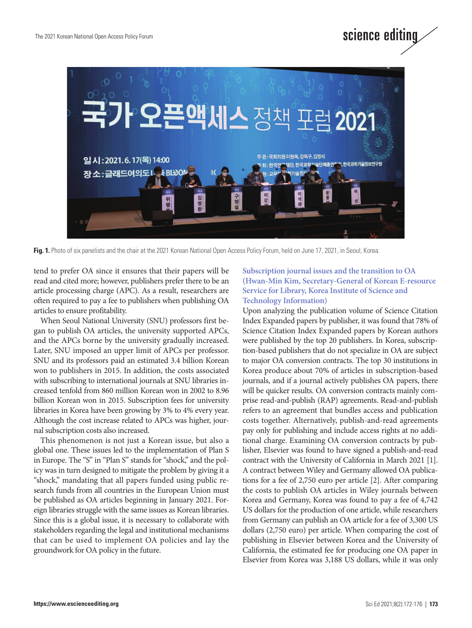

Fig. 1. Photo of six panelists and the chair at the 2021 Korean National Open Access Policy Forum, held on June 17, 2021, in Seoul, Korea.

tend to prefer OA since it ensures that their papers will be read and cited more; however, publishers prefer there to be an article processing charge (APC). As a result, researchers are often required to pay a fee to publishers when publishing OA articles to ensure profitability.

When Seoul National University (SNU) professors first began to publish OA articles, the university supported APCs, and the APCs borne by the university gradually increased. Later, SNU imposed an upper limit of APCs per professor. SNU and its professors paid an estimated 3.4 billion Korean won to publishers in 2015. In addition, the costs associated with subscribing to international journals at SNU libraries increased tenfold from 860 million Korean won in 2002 to 8.96 billion Korean won in 2015. Subscription fees for university libraries in Korea have been growing by 3% to 4% every year. Although the cost increase related to APCs was higher, journal subscription costs also increased.

This phenomenon is not just a Korean issue, but also a global one. These issues led to the implementation of Plan S in Europe. The "S" in "Plan S" stands for "shock," and the policy was in turn designed to mitigate the problem by giving it a "shock," mandating that all papers funded using public research funds from all countries in the European Union must be published as OA articles beginning in January 2021. Foreign libraries struggle with the same issues as Korean libraries. Since this is a global issue, it is necessary to collaborate with stakeholders regarding the legal and institutional mechanisms that can be used to implement OA policies and lay the groundwork for OA policy in the future.

#### **Subscription journal issues and the transition to OA (Hwan-Min Kim, Secretary-General of Korean E-resource Service for Library, Korea Institute of Science and Technology Information)**

science editing

Upon analyzing the publication volume of Science Citation Index Expanded papers by publisher, it was found that 78% of Science Citation Index Expanded papers by Korean authors were published by the top 20 publishers. In Korea, subscription-based publishers that do not specialize in OA are subject to major OA conversion contracts. The top 30 institutions in Korea produce about 70% of articles in subscription-based journals, and if a journal actively publishes OA papers, there will be quicker results. OA conversion contracts mainly comprise read-and-publish (RAP) agreements. Read-and-publish refers to an agreement that bundles access and publication costs together. Alternatively, publish-and-read agreements pay only for publishing and include access rights at no additional charge. Examining OA conversion contracts by publisher, Elsevier was found to have signed a publish-and-read contract with the University of California in March 2021 [1]. A contract between Wiley and Germany allowed OA publications for a fee of 2,750 euro per article [2]. After comparing the costs to publish OA articles in Wiley journals between Korea and Germany, Korea was found to pay a fee of 4,742 US dollars for the production of one article, while researchers from Germany can publish an OA article for a fee of 3,300 US dollars (2,750 euro) per article. When comparing the cost of publishing in Elsevier between Korea and the University of California, the estimated fee for producing one OA paper in Elsevier from Korea was 3,188 US dollars, while it was only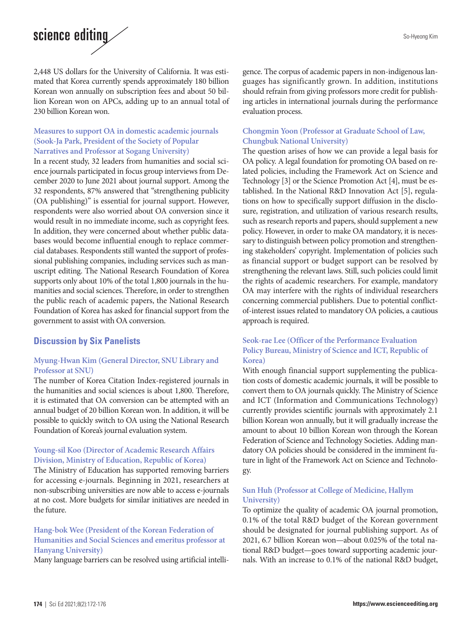# science editing

2,448 US dollars for the University of California. It was estimated that Korea currently spends approximately 180 billion Korean won annually on subscription fees and about 50 billion Korean won on APCs, adding up to an annual total of 230 billion Korean won.

#### **Measures to support OA in domestic academic journals (Sook-Ja Park, President of the Society of Popular Narratives and Professor at Sogang University)**

In a recent study, 32 leaders from humanities and social science journals participated in focus group interviews from December 2020 to June 2021 about journal support. Among the 32 respondents, 87% answered that "strengthening publicity (OA publishing)" is essential for journal support. However, respondents were also worried about OA conversion since it would result in no immediate income, such as copyright fees. In addition, they were concerned about whether public databases would become influential enough to replace commercial databases. Respondents still wanted the support of professional publishing companies, including services such as manuscript editing. The National Research Foundation of Korea supports only about 10% of the total 1,800 journals in the humanities and social sciences. Therefore, in order to strengthen the public reach of academic papers, the National Research Foundation of Korea has asked for financial support from the government to assist with OA conversion.

# **Discussion by Six Panelists**

#### **Myung-Hwan Kim (General Director, SNU Library and Professor at SNU)**

The number of Korea Citation Index-registered journals in the humanities and social sciences is about 1,800. Therefore, it is estimated that OA conversion can be attempted with an annual budget of 20 billion Korean won. In addition, it will be possible to quickly switch to OA using the National Research Foundation of Korea's journal evaluation system.

### **Young-sil Koo (Director of Academic Research Affairs Division, Ministry of Education, Republic of Korea)**

The Ministry of Education has supported removing barriers for accessing e-journals. Beginning in 2021, researchers at non-subscribing universities are now able to access e-journals at no cost. More budgets for similar initiatives are needed in the future.

#### **Hang-bok Wee (President of the Korean Federation of Humanities and Social Sciences and emeritus professor at Hanyang University)**

Many language barriers can be resolved using artificial intelli-

gence. The corpus of academic papers in non-indigenous languages has significantly grown. In addition, institutions should refrain from giving professors more credit for publishing articles in international journals during the performance evaluation process.

#### **Chongmin Yoon (Professor at Graduate School of Law, Chungbuk National University)**

The question arises of how we can provide a legal basis for OA policy. A legal foundation for promoting OA based on related policies, including the Framework Act on Science and Technology [3] or the Science Promotion Act [4], must be established. In the National R&D Innovation Act [5], regulations on how to specifically support diffusion in the disclosure, registration, and utilization of various research results, such as research reports and papers, should supplement a new policy. However, in order to make OA mandatory, it is necessary to distinguish between policy promotion and strengthening stakeholders' copyright. Implementation of policies such as financial support or budget support can be resolved by strengthening the relevant laws. Still, such policies could limit the rights of academic researchers. For example, mandatory OA may interfere with the rights of individual researchers concerning commercial publishers. Due to potential conflictof-interest issues related to mandatory OA policies, a cautious approach is required.

#### **Seok-rae Lee (Officer of the Performance Evaluation Policy Bureau, Ministry of Science and ICT, Republic of Korea)**

With enough financial support supplementing the publication costs of domestic academic journals, it will be possible to convert them to OA journals quickly. The Ministry of Science and ICT (Information and Communications Technology) currently provides scientific journals with approximately 2.1 billion Korean won annually, but it will gradually increase the amount to about 10 billion Korean won through the Korean Federation of Science and Technology Societies. Adding mandatory OA policies should be considered in the imminent future in light of the Framework Act on Science and Technology.

#### **Sun Huh (Professor at College of Medicine, Hallym University)**

To optimize the quality of academic OA journal promotion, 0.1% of the total R&D budget of the Korean government should be designated for journal publishing support. As of 2021, 6.7 billion Korean won—about 0.025% of the total national R&D budget—goes toward supporting academic journals. With an increase to 0.1% of the national R&D budget,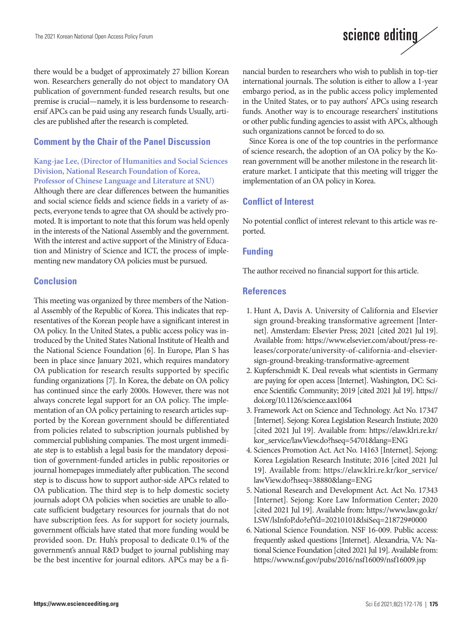# science editing

there would be a budget of approximately 27 billion Korean won. Researchers generally do not object to mandatory OA publication of government-funded research results, but one premise is crucial—namely, it is less burdensome to researchersif APCs can be paid using any research funds Usually, articles are published after the research is completed.

# **Comment by the Chair of the Panel Discussion**

# **Kang-jae Lee, (Director of Humanities and Social Sciences Division, National Research Foundation of Korea,**

**Professor of Chinese Language and Literature at SNU)** Although there are clear differences between the humanities and social science fields and science fields in a variety of aspects, everyone tends to agree that OA should be actively promoted. It is important to note that this forum was held openly in the interests of the National Assembly and the government. With the interest and active support of the Ministry of Education and Ministry of Science and ICT, the process of implementing new mandatory OA policies must be pursued.

# **Conclusion**

This meeting was organized by three members of the National Assembly of the Republic of Korea. This indicates that representatives of the Korean people have a significant interest in OA policy. In the United States, a public access policy was introduced by the United States National Institute of Health and the National Science Foundation [6]. In Europe, Plan S has been in place since January 2021, which requires mandatory OA publication for research results supported by specific funding organizations [7]. In Korea, the debate on OA policy has continued since the early 2000s. However, there was not always concrete legal support for an OA policy. The implementation of an OA policy pertaining to research articles supported by the Korean government should be differentiated from policies related to subscription journals published by commercial publishing companies. The most urgent immediate step is to establish a legal basis for the mandatory deposition of government-funded articles in public repositories or journal homepages immediately after publication. The second step is to discuss how to support author-side APCs related to OA publication. The third step is to help domestic society journals adopt OA policies when societies are unable to allocate sufficient budgetary resources for journals that do not have subscription fees. As for support for society journals, government officials have stated that more funding would be provided soon. Dr. Huh's proposal to dedicate 0.1% of the government's annual R&D budget to journal publishing may be the best incentive for journal editors. APCs may be a financial burden to researchers who wish to publish in top-tier international journals. The solution is either to allow a 1-year embargo period, as in the public access policy implemented in the United States, or to pay authors' APCs using research funds. Another way is to encourage researchers' institutions or other public funding agencies to assist with APCs, although such organizations cannot be forced to do so.

Since Korea is one of the top countries in the performance of science research, the adoption of an OA policy by the Korean government will be another milestone in the research literature market. I anticipate that this meeting will trigger the implementation of an OA policy in Korea.

# **Conflict of Interest**

No potential conflict of interest relevant to this article was reported.

#### **Funding**

The author received no financial support for this article.

#### **References**

- 1. Hunt A, Davis A. University of California and Elsevier sign ground-breaking transformative agreement [Internet]. Amsterdam: Elsevier Press; 2021 [cited 2021 Jul 19]. Available from: https://www.elsevier.com/about/press-releases/corporate/university-of-california-and-elseviersign-ground-breaking-transformative-agreement
- 2. Kupferschmidt K. Deal reveals what scientists in Germany are paying for open access [Internet]. Washington, DC: Science Scientific Community; 2019 [cited 2021 Jul 19]. [https://](https://doi.org/10.1126/science.aax1064) [doi.org/10.1126/science.aax1064](https://doi.org/10.1126/science.aax1064)
- 3. Framework Act on Science and Technology. Act No. 17347 [Internet]. Sejong: Korea Legislation Research Instiute; 2020 [cited 2021 Jul 19]. Available from: https://elaw.klri.re.kr/ kor\_service/lawView.do?hseq=54701&lang=ENG
- 4. Sciences Promotion Act. Act No. 14163 [Internet]. Sejong: Korea Legislation Research Institute; 2016 [cited 2021 Jul 19]. Available from: https://elaw.klri.re.kr/kor\_service/ lawView.do?hseq=38880&lang=ENG
- 5. National Research and Development Act. Act No. 17343 [Internet]. Sejong: Kore Law Information Center; 2020 [cited 2021 Jul 19]. Available from: https://www.law.go.kr/ LSW/lsInfoP.do?efYd=20210101&lsiSeq=218729#0000
- 6. National Science Foundation. NSF 16-009. Public access: frequently asked questions [Internet]. Alexandria, VA: National Science Foundation [cited 2021 Jul 19]. Available from: <https://www.nsf.gov/pubs/2016/nsf16009/nsf16009.jsp>